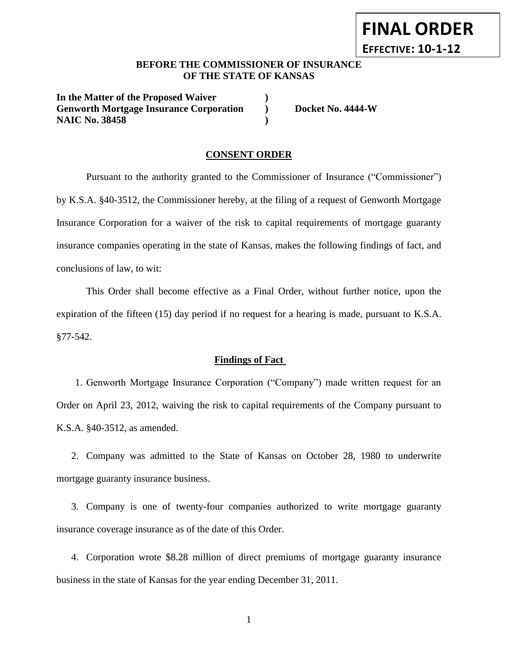# **BEFORE THE COMMISSIONER OF INSURANCE OF THE STATE OF KANSAS**

**In the Matter of the Proposed Waiver ) Genworth Mortgage Insurance Corporation ) Docket No. 4444-W NAIC No. 38458 )**

**FINAL ORDER**

**EFFECTIVE: 10-1-12**

### **CONSENT ORDER**

Pursuant to the authority granted to the Commissioner of Insurance ("Commissioner") by K.S.A. §40-3512, the Commissioner hereby, at the filing of a request of Genworth Mortgage Insurance Corporation for a waiver of the risk to capital requirements of mortgage guaranty insurance companies operating in the state of Kansas, makes the following findings of fact, and conclusions of law, to wit:

This Order shall become effective as a Final Order, without further notice, upon the expiration of the fifteen (15) day period if no request for a hearing is made, pursuant to K.S.A. §77-542.

### **Findings of Fact**

1. Genworth Mortgage Insurance Corporation ("Company") made written request for an Order on April 23, 2012, waiving the risk to capital requirements of the Company pursuant to K.S.A. §40-3512, as amended.

2. Company was admitted to the State of Kansas on October 28, 1980 to underwrite mortgage guaranty insurance business.

3. Company is one of twenty-four companies authorized to write mortgage guaranty insurance coverage insurance as of the date of this Order.

4. Corporation wrote \$8.28 million of direct premiums of mortgage guaranty insurance business in the state of Kansas for the year ending December 31, 2011.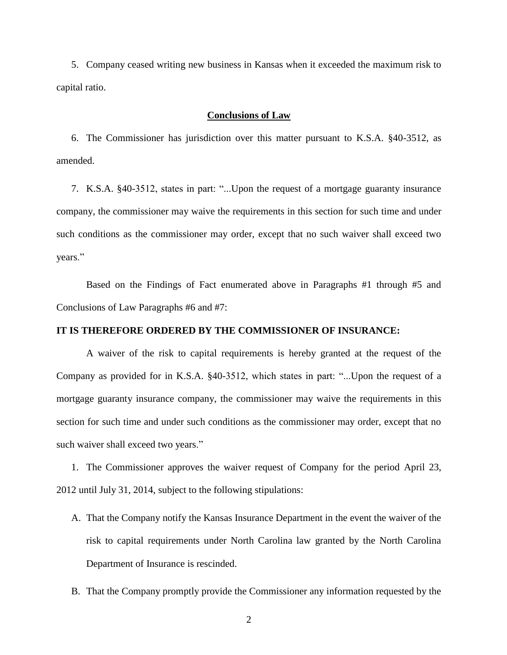5. Company ceased writing new business in Kansas when it exceeded the maximum risk to capital ratio.

#### **Conclusions of Law**

6. The Commissioner has jurisdiction over this matter pursuant to K.S.A. §40-3512, as amended.

7. K.S.A. §40-3512, states in part: "...Upon the request of a mortgage guaranty insurance company, the commissioner may waive the requirements in this section for such time and under such conditions as the commissioner may order, except that no such waiver shall exceed two years."

Based on the Findings of Fact enumerated above in Paragraphs #1 through #5 and Conclusions of Law Paragraphs #6 and #7:

#### **IT IS THEREFORE ORDERED BY THE COMMISSIONER OF INSURANCE:**

A waiver of the risk to capital requirements is hereby granted at the request of the Company as provided for in K.S.A. §40-3512, which states in part: "...Upon the request of a mortgage guaranty insurance company, the commissioner may waive the requirements in this section for such time and under such conditions as the commissioner may order, except that no such waiver shall exceed two years."

1. The Commissioner approves the waiver request of Company for the period April 23, 2012 until July 31, 2014, subject to the following stipulations:

- A. That the Company notify the Kansas Insurance Department in the event the waiver of the risk to capital requirements under North Carolina law granted by the North Carolina Department of Insurance is rescinded.
- B. That the Company promptly provide the Commissioner any information requested by the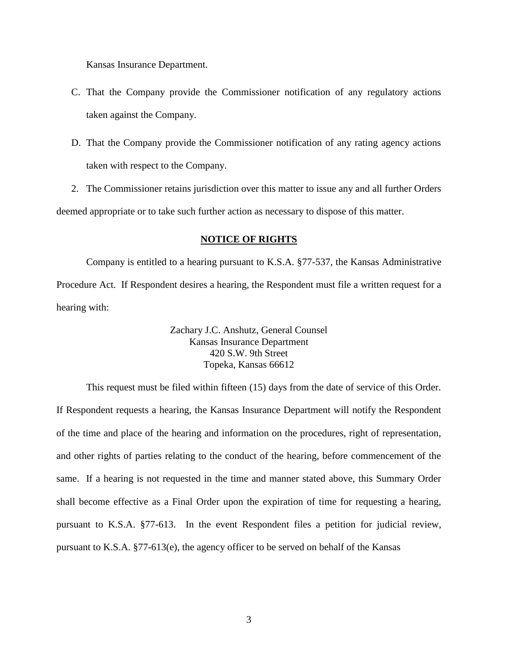Kansas Insurance Department.

- C. That the Company provide the Commissioner notification of any regulatory actions taken against the Company.
- D. That the Company provide the Commissioner notification of any rating agency actions taken with respect to the Company.

2. The Commissioner retains jurisdiction over this matter to issue any and all further Orders deemed appropriate or to take such further action as necessary to dispose of this matter.

#### **NOTICE OF RIGHTS**

Company is entitled to a hearing pursuant to K.S.A. §77-537, the Kansas Administrative Procedure Act. If Respondent desires a hearing, the Respondent must file a written request for a hearing with:

> Zachary J.C. Anshutz, General Counsel Kansas Insurance Department 420 S.W. 9th Street Topeka, Kansas 66612

This request must be filed within fifteen (15) days from the date of service of this Order. If Respondent requests a hearing, the Kansas Insurance Department will notify the Respondent of the time and place of the hearing and information on the procedures, right of representation, and other rights of parties relating to the conduct of the hearing, before commencement of the same. If a hearing is not requested in the time and manner stated above, this Summary Order shall become effective as a Final Order upon the expiration of time for requesting a hearing, pursuant to K.S.A. §77-613. In the event Respondent files a petition for judicial review, pursuant to K.S.A. §77-613(e), the agency officer to be served on behalf of the Kansas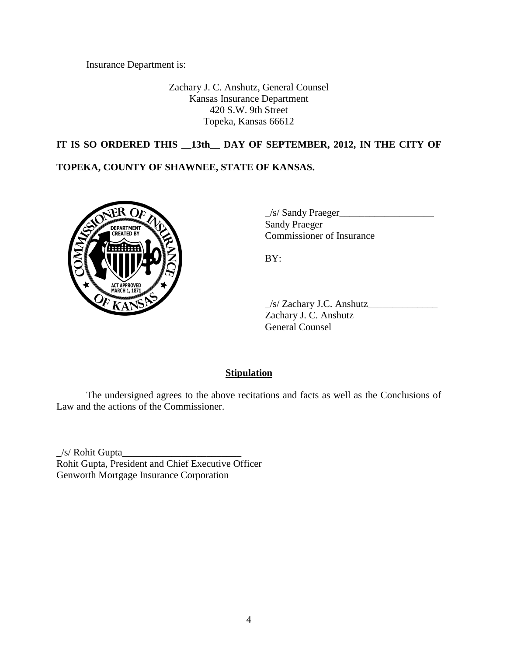Insurance Department is:

Zachary J. C. Anshutz, General Counsel Kansas Insurance Department 420 S.W. 9th Street Topeka, Kansas 66612

# **IT IS SO ORDERED THIS \_\_13th\_\_ DAY OF SEPTEMBER, 2012, IN THE CITY OF**

## **TOPEKA, COUNTY OF SHAWNEE, STATE OF KANSAS.**



 $\angle$ s/ Sandy Praeger $\angle$ Sandy Praeger Commissioner of Insurance

BY:

 $\angle$ s/ Zachary J.C. Anshutz $\angle$ Zachary J. C. Anshutz General Counsel

### **Stipulation**

The undersigned agrees to the above recitations and facts as well as the Conclusions of Law and the actions of the Commissioner.

 $\angle$ s/ Rohit Gupta $\angle$ Rohit Gupta, President and Chief Executive Officer Genworth Mortgage Insurance Corporation